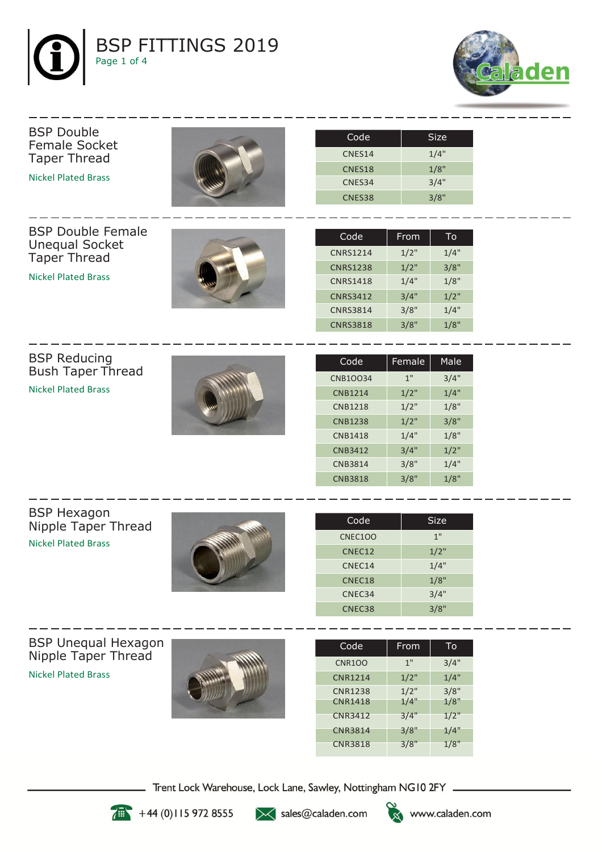



## Female Socket Taper Thread Nickel Plated Brass BSP Double Female Unequal Socket Taper Thread Nickel Plated Brass CNES38 3/8" CNES34 3/4" CNES18 1/8" CNES14 1/4" CNRS3818 3/8" 1/8" CNRS3814 3/8" 1/4" CNRS3412 3/4" 1/2" CNRS1418 1/4" 1/8" CNRS1238 1/2" 3/8" CNRS1214 1/2" 1/4" Code | From  $|$  To

BSP Reducing Bush Taper Thread Nickel Plated Brass

BSP Double



| Code            | Female | Male |
|-----------------|--------|------|
| <b>CNB1OO34</b> | 1"     | 3/4" |
| <b>CNB1214</b>  | 1/2"   | 1/4" |
| <b>CNB1218</b>  | 1/2"   | 1/8" |
| <b>CNB1238</b>  | 1/2"   | 3/8" |
| <b>CNB1418</b>  | 1/4"   | 1/8" |
| <b>CNB3412</b>  | 3/4"   | 1/2" |
| <b>CNB3814</b>  | 3/8"   | 1/4" |
| <b>CNB3818</b>  | 3/8"   | 1/8" |

Code | Size

BSP Hexagon Nipple Taper Thread Nickel Plated Brass



| Code           | Size |
|----------------|------|
| <b>CNEC100</b> | 1"   |
| CNEC12         | 1/2" |
| CNEC14         | 1/4" |
| CNEC18         | 1/8" |
| CNEC34         | 3/4" |
| CNEC38         | 3/8" |

BSP Unequal Hexagon Nipple Taper Thread Nickel Plated Brass



| Code           | From | To   |
|----------------|------|------|
| <b>CNR100</b>  | 1"   | 3/4" |
| <b>CNR1214</b> | 1/2" | 1/4" |
| <b>CNR1238</b> | 1/2" | 3/8" |
| <b>CNR1418</b> | 1/4" | 1/8" |
| <b>CNR3412</b> | 3/4" | 1/2" |
| <b>CNR3814</b> | 3/8" | 1/4" |
| <b>CNR3818</b> | 3/8" | 1/8" |

Trent Lock Warehouse, Lock Lane, Sawley, Nottingham NG10 2FY \_



 $+44(0)1159728555$ 

>< sales@caladen.com

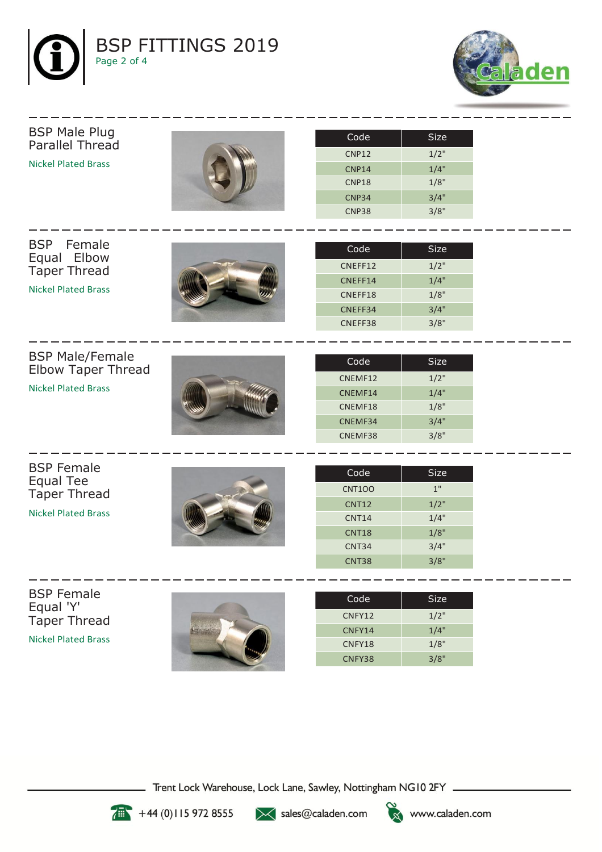



## BSP Male Plug Parallel Thread Nickel Plated Brass



| Code              | Size |
|-------------------|------|
| <b>CNP12</b>      | 1/2" |
| CNP <sub>14</sub> | 1/4" |
| CNP <sub>18</sub> | 1/8" |
| CNP <sub>34</sub> | 3/4" |
| <b>CNP38</b>      | 3/8" |

BSP Female Equal Elbow Taper Thread

Nickel Plated Brass

| Code    | Size |
|---------|------|
| CNEFF12 | 1/2" |
| CNEFF14 | 1/4" |
| CNEFF18 | 1/8" |
| CNEFF34 | 3/4" |
| CNEFF38 | 3/8" |

BSP Male/Female Elbow Taper Thread

Nickel Plated Brass



| Code    | 'Size |
|---------|-------|
| CNEMF12 | 1/2"  |
| CNEMF14 | 1/4"  |
| CNEMF18 | 1/8"  |
| CNEMF34 | 3/4"  |
| CNEMF38 | 3/8"  |

BSP Female Equal Tee Taper Thread

Nickel Plated Brass



| Code              | Size |
|-------------------|------|
| <b>CNT100</b>     | 1"   |
| <b>CNT12</b>      | 1/2" |
| <b>CNT14</b>      | 1/4" |
| <b>CNT18</b>      | 1/8" |
| CNT34             | 3/4" |
| CNT <sub>38</sub> | 3/8" |

BSP Female Equal 'Y' Taper Thread Nickel Plated Brass



| Code   | Size |
|--------|------|
| CNFY12 | 1/2" |
| CNFY14 | 1/4" |
| CNFY18 | 1/8" |
| CNFY38 | 3/8" |

Trent Lock Warehouse, Lock Lane, Sawley, Nottingham NG10 2FY \_



 $+44(0)1159728555$ 

>< sales@caladen.com

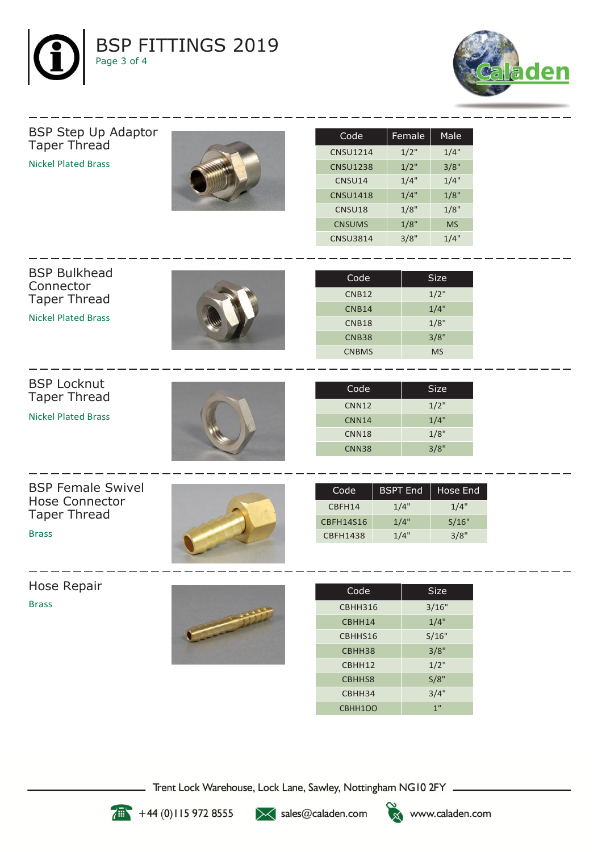



BSP Step Up Adaptor Taper Thread Nickel Plated Brass



| Code            | Female | Male      |
|-----------------|--------|-----------|
| <b>CNSU1214</b> | 1/2"   | 1/4"      |
| <b>CNSU1238</b> | 1/2"   | 3/8"      |
| CNSU14          | 1/4"   | 1/4"      |
| <b>CNSU1418</b> | 1/4"   | 1/8"      |
| CNSU18          | 1/8"   | 1/8"      |
| <b>CNSUMS</b>   | 1/8"   | <b>MS</b> |
| <b>CNSU3814</b> | 3/8"   | 1/4"      |

| <b>BSP Bulkhead</b>        |  |              |             |
|----------------------------|--|--------------|-------------|
| Connector                  |  | Code         | <b>Size</b> |
| <b>Taper Thread</b>        |  | <b>CNB12</b> | $1/2$ "     |
|                            |  | <b>CNB14</b> | 1/4"        |
| <b>Nickel Plated Brass</b> |  | <b>CNB18</b> | 1/8"        |
|                            |  | <b>CNB38</b> | 3/8"        |
|                            |  | <b>CNBMS</b> | <b>MS</b>   |
|                            |  |              |             |
| <b>BSP Locknut</b>         |  |              |             |
| <b>Taper Thread</b>        |  | Code         | <b>Size</b> |
|                            |  | <b>CNN12</b> | $1/2$ "     |
|                            |  |              |             |

Nickel Plated Brass



| Code              | Size |
|-------------------|------|
| CNN <sub>12</sub> | 1/2" |
| CNN <sub>14</sub> | 1/4" |
| CNN <sub>18</sub> | 1/8" |
| <b>CNN38</b>      | 3/8" |

BSP Female Swivel Hose Connector Taper Thread

Brass



| Code      | <b>BSPT End</b> | Hose End |
|-----------|-----------------|----------|
| CBFH14    | 1/4"            | 1/4"     |
| CBFH14S16 | 1/4"            | S/16"    |
| CBFH1438  | 1/4"            | 3/8"     |

Hose Repair Brass



| Code           | Size  |
|----------------|-------|
| <b>CBHH316</b> | 3/16" |
| CBHH14         | 1/4"  |
| CBHHS16        | S/16" |
| CBHH38         | 3/8"  |
| CBHH12         | 1/2"  |
| CBHHS8         | S/8"  |
| CBHH34         | 3/4"  |
| CBHH1OO        | 1"    |

Trent Lock Warehouse, Lock Lane, Sawley, Nottingham NG10 2FY \_\_



 $+44(0)1159728555$ 

></a>sales@caladen.com